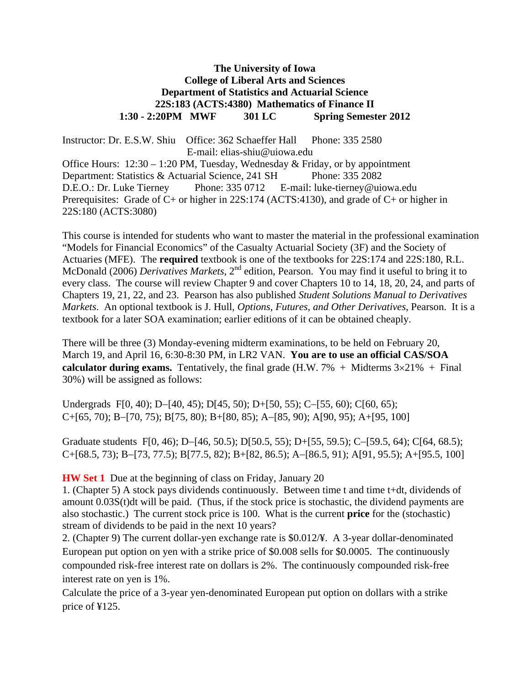# **The University of Iowa College of Liberal Arts and Sciences Department of Statistics and Actuarial Science 22S:183 (ACTS:4380) Mathematics of Finance II 1:30 - 2:20PM MWF 301 LC Spring Semester 2012**

Instructor: Dr. E.S.W. Shiu Office: 362 Schaeffer Hall Phone: 335 2580 E-mail: elias-shiu@uiowa.edu Office Hours:  $12:30 - 1:20$  PM, Tuesday, Wednesday & Friday, or by appointment Department: Statistics & Actuarial Science, 241 SH Phone: 335 2082 D.E.O.: Dr. Luke Tierney Phone: 335 0712 E-mail: luke-tierney@uiowa.edu Prerequisites: Grade of C+ or higher in 22S:174 (ACTS:4130), and grade of C+ or higher in 22S:180 (ACTS:3080)

This course is intended for students who want to master the material in the professional examination "Models for Financial Economics" of the Casualty Actuarial Society (3F) and the Society of Actuaries (MFE). The **required** textbook is one of the textbooks for 22S:174 and 22S:180, R.L. McDonald (2006) *Derivatives Markets*, 2nd edition, Pearson. You may find it useful to bring it to every class. The course will review Chapter 9 and cover Chapters 10 to 14, 18, 20, 24, and parts of Chapters 19, 21, 22, and 23. Pearson has also published *Student Solutions Manual to Derivatives Markets*. An optional textbook is J. Hull, *Options, Futures, and Other Derivatives*, Pearson. It is a textbook for a later SOA examination; earlier editions of it can be obtained cheaply.

There will be three (3) Monday-evening midterm examinations, to be held on February 20, March 19, and April 16, 6:30-8:30 PM, in LR2 VAN. **You are to use an official CAS/SOA calculator during exams.** Tentatively, the final grade  $(H.W. 7\% + Midterms 3\times21\% + Final)$ 30%) will be assigned as follows:

Undergrads F[0, 40); D-[40, 45); D[45, 50); D+[50, 55); C-[55, 60); C[60, 65);  $C+[65, 70)$ ; B-[70, 75); B[75, 80); B+[80, 85); A-[85, 90); A[90, 95); A+[95, 100]

Graduate students F[0, 46); D-[46, 50.5); D[50.5, 55); D+[55, 59.5); C-[59.5, 64); C[64, 68.5);  $C+[68.5, 73)$ ; B-[73, 77.5); B[77.5, 82); B+[82, 86.5); A-[86.5, 91); A[91, 95.5); A+[95.5, 100]

# **HW Set 1** Due at the beginning of class on Friday, January 20

1. (Chapter 5) A stock pays dividends continuously. Between time t and time t+dt, dividends of amount 0.03S(t)dt will be paid. (Thus, if the stock price is stochastic, the dividend payments are also stochastic.) The current stock price is 100. What is the current **price** for the (stochastic) stream of dividends to be paid in the next 10 years?

2. (Chapter 9) The current dollar-yen exchange rate is \$0.012/¥. A 3-year dollar-denominated European put option on yen with a strike price of \$0.008 sells for \$0.0005. The continuously compounded risk-free interest rate on dollars is 2%. The continuously compounded risk-free interest rate on yen is 1%.

Calculate the price of a 3-year yen-denominated European put option on dollars with a strike price of ¥125.